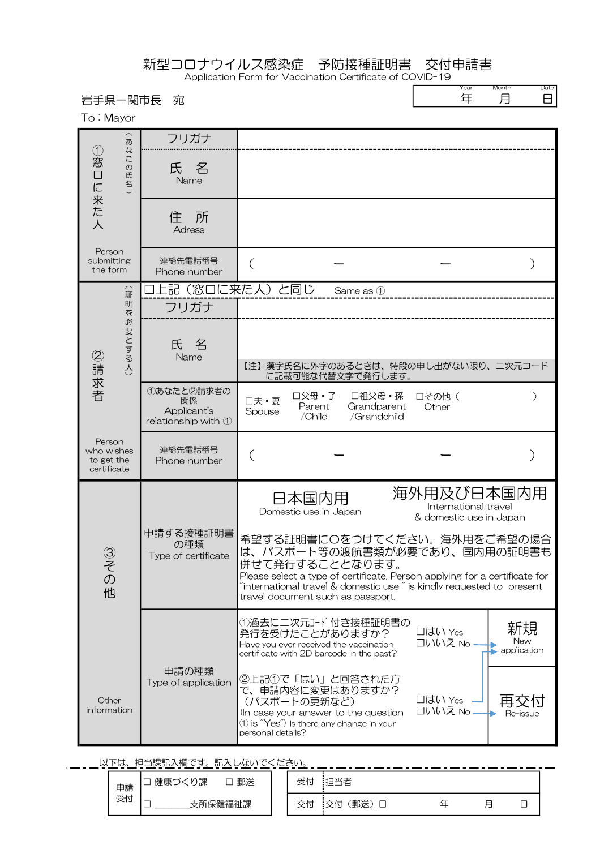新型コロナウイルス感染症 予防接種証明書 交付申請書

Application Form for Vaccination Certificate of COVID-19  $\Gamma$ 

| 岩手県一関市長<br>To: Mayor                              | 宛                                                      |                                                                                                                                                                                                                                                                                                  | Year<br>年                                                     | Month<br>Date<br>月<br>8  |
|---------------------------------------------------|--------------------------------------------------------|--------------------------------------------------------------------------------------------------------------------------------------------------------------------------------------------------------------------------------------------------------------------------------------------------|---------------------------------------------------------------|--------------------------|
| あ<br>な<br>(1)<br>た<br>窓<br>の<br>ロに<br>氏<br>名      | フリガナ<br>氏 名<br>Name                                    |                                                                                                                                                                                                                                                                                                  |                                                               |                          |
| 来た!<br>人                                          | 住所<br><b>Adress</b>                                    |                                                                                                                                                                                                                                                                                                  |                                                               |                          |
| Person<br>submitting<br>the form                  | 連絡先電話番号<br>Phone number                                |                                                                                                                                                                                                                                                                                                  |                                                               |                          |
| $\frown$<br>証<br>明<br>を必要とする人)<br>②請求者            | フリガナ                                                   | 上記(窓口に来た人)と同じ<br>Same as 1                                                                                                                                                                                                                                                                       |                                                               |                          |
|                                                   | 氏<br>名<br>Name                                         | 【注】漢字氏名に外字のあるときは、特段の申し出がない限り、二次元コード<br>に記載可能な代替文字で発行します。                                                                                                                                                                                                                                         |                                                               |                          |
|                                                   | 1あなたと2請求者の<br>関係<br>Applicant's<br>relationship with 1 | □父母・子<br>□祖父母・孫<br>口その他(<br>口夫·妻<br>Parent<br>Grandparent<br>Other<br>Spouse<br>/Child<br>/Grandchild                                                                                                                                                                                            | $\lambda$                                                     |                          |
| Person<br>who wishes<br>to get the<br>certificate | 連絡先電話番号<br>Phone number                                |                                                                                                                                                                                                                                                                                                  |                                                               |                          |
|                                                   |                                                        | 日本国内用<br>Domestic use in Japan                                                                                                                                                                                                                                                                   | 海外用及び日本国内用<br>International travel<br>& domestic use in Japan |                          |
| ③その他                                              | 申請する接種証明書<br>の種類<br>Type of certificate                | 希望する証明書にOをつけてください。海外用をご希望の場合<br>は、パスポート等の渡航書類が必要であり、国内用の証明書も<br>併せて発行することとなります。<br>Please select a type of certificate. Person applying for a certificate for<br>$\tilde{a}$ international travel & domestic use $\tilde{a}$ is kindly requested to present<br>travel document such as passport. |                                                               |                          |
|                                                   |                                                        | ①過去に二次元コード付き接種証明書の<br>発行を受けたことがありますか?<br>Have you ever received the vaccination<br>certificate with 2D barcode in the past?                                                                                                                                                                      | □はい Yes<br>口いいえ No                                            | 新規<br>New<br>application |
| Other<br>information                              | 申請の種類<br>Type of application                           | ②上記①で「はい」と回答された方<br>で、申請内容に変更はありますか?<br>(パスポートの更新など)<br>In case your answer to the question<br>$\textcircled{1}$ is $\textcircled{Yes}$ is there any change in your<br>personal details?                                                                                                         | □はい Yes<br>口いいえ No                                            | 冉<br>Re-issue            |

いニュー以下は、担当課記入欄です。記入しないでください。

| ≺∽ ⊥<br>1.101<br>' \ 'I'RI<br>っ。<br>00/11/01/11<br>ے کا ا<br>ہ≀ ∪ ت<br>╰ |                              |    |                  |                |  |        |                                    |  |  |  |  |
|--------------------------------------------------------------------------|------------------------------|----|------------------|----------------|--|--------|------------------------------------|--|--|--|--|
| 申請                                                                       | 課<br>健康づ<br>─                | 郵送 | ᄑ<br>צ'<br>. .   | 当者             |  |        |                                    |  |  |  |  |
| 受付                                                                       | –<br>. nl+r<br>'健.<br>rii n木 |    | ∸<br>- 父 代<br>ᄉᄓ | 郵送<br>:交付<br>⊟ |  | 曰<br>- | $\overline{\phantom{0}}$<br>─<br>_ |  |  |  |  |